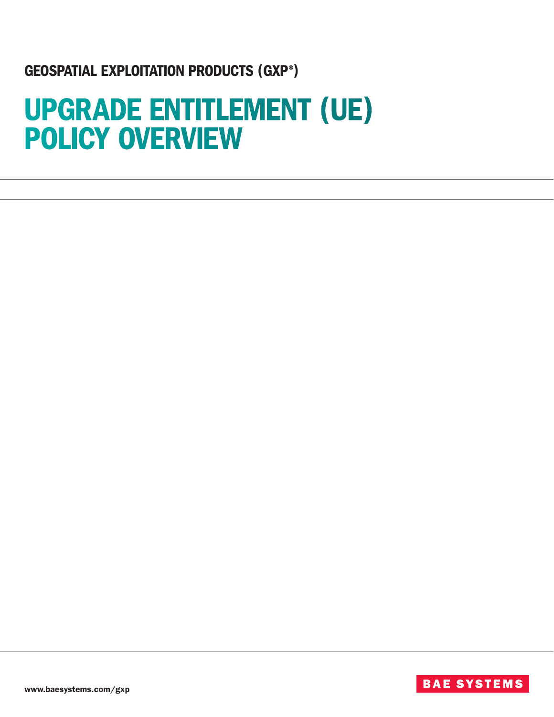## GEOSPATIAL EXPLOITATION PRODUCTS (GXP®)

# UPGRADE ENTITLEMENT (UE) POLICY OVERVIEW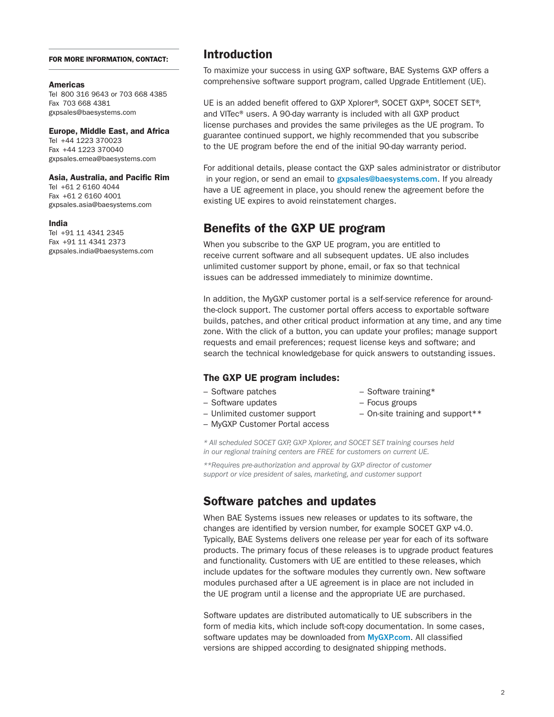#### FOR MORE INFORMATION, CONTACT:

#### **Americas**

Tel 800 316 9643 or 703 668 4385 Fax 703 668 4381 gxpsales@baesystems.com

Europe, Middle East, and Africa Tel +44 1223 370023 Fax +44 1223 370040 gxpsales.emea@baesystems.com

#### Asia, Australia, and Pacific Rim

Tel +61 2 6160 4044 Fax +61 2 6160 4001 gxpsales.asia@baesystems.com

#### India

Tel +91 11 4341 2345 Fax +91 11 4341 2373 gxpsales.india@baesystems.com

## Introduction

To maximize your success in using GXP software, BAE Systems GXP offers a comprehensive software support program, called Upgrade Entitlement (UE).

UE is an added benefit offered to GXP Xplorer®, SOCET GXP®, SOCET SET®, and VITec® users. A 90-day warranty is included with all GXP product license purchases and provides the same privileges as the UE program. To guarantee continued support, we highly recommended that you subscribe to the UE program before the end of the initial 90-day warranty period.

For additional details, please contact the GXP sales administrator or distributor in your region, or send an email to gxpsales@baesystems.com. If you already have a UE agreement in place, you should renew the agreement before the existing UE expires to avoid reinstatement charges.

## Benefits of the GXP UE program

When you subscribe to the GXP UE program, you are entitled to receive current software and all subsequent updates. UE also includes unlimited customer support by phone, email, or fax so that technical issues can be addressed immediately to minimize downtime.

In addition, the MyGXP customer portal is a self-service reference for aroundthe-clock support. The customer portal offers access to exportable software builds, patches, and other critical product information at any time, and any time zone. With the click of a button, you can update your profiles; manage support requests and email preferences; request license keys and software; and search the technical knowledgebase for quick answers to outstanding issues.

#### The GXP UE program includes:

- Software patches
- Software updates
- Unlimited customer support
- Focus groups

– Software training\*

- On-site training and support\*\*
- MyGXP Customer Portal access

*\* All scheduled SOCET GXP, GXP Xplorer, and SOCET SET training courses held in our regional training centers are FREE for customers on current UE.*

*\*\*Requires pre-authorization and approval by GXP director of customer support or vice president of sales, marketing, and customer support*

## Software patches and updates

When BAE Systems issues new releases or updates to its software, the changes are identified by version number, for example SOCET GXP v4.0. Typically, BAE Systems delivers one release per year for each of its software products. The primary focus of these releases is to upgrade product features and functionality. Customers with UE are entitled to these releases, which include updates for the software modules they currently own. New software modules purchased after a UE agreement is in place are not included in the UE program until a license and the appropriate UE are purchased.

Software updates are distributed automatically to UE subscribers in the form of media kits, which include soft-copy documentation. In some cases, software updates may be downloaded from **MyGXP.com**. All classified versions are shipped according to designated shipping methods.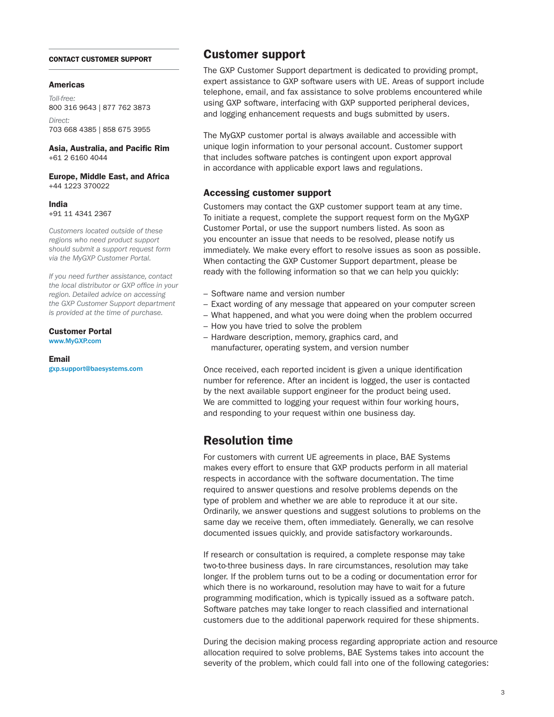#### CONTACT CUSTOMER SUPPORT

#### Americas

*Toll-free:*  800 316 9643 | 877 762 3873 *Direct:*  703 668 4385 | 858 675 3955

Asia, Australia, and Pacific Rim +61 2 6160 4044

Europe, Middle East, and Africa +44 1223 370022

India +91 11 4341 2367

*Customers located outside of these regions who need product support should submit a support request form via the MyGXP Customer Portal.* 

*If you need further assistance, contact the local distributor or GXP office in your region. Detailed advice on accessing the GXP Customer Support department is provided at the time of purchase.*

Customer Portal

www.MyGXP.com

#### Email

gxp.support@baesystems.com

## Customer support

The GXP Customer Support department is dedicated to providing prompt, expert assistance to GXP software users with UE. Areas of support include telephone, email, and fax assistance to solve problems encountered while using GXP software, interfacing with GXP supported peripheral devices, and logging enhancement requests and bugs submitted by users.

The MyGXP customer portal is always available and accessible with unique login information to your personal account. Customer support that includes software patches is contingent upon export approval in accordance with applicable export laws and regulations.

#### Accessing customer support

Customers may contact the GXP customer support team at any time. To initiate a request, complete the support request form on the MyGXP Customer Portal, or use the support numbers listed. As soon as you encounter an issue that needs to be resolved, please notify us immediately. We make every effort to resolve issues as soon as possible. When contacting the GXP Customer Support department, please be ready with the following information so that we can help you quickly:

- Software name and version number
- Exact wording of any message that appeared on your computer screen
- What happened, and what you were doing when the problem occurred
- How you have tried to solve the problem
- Hardware description, memory, graphics card, and manufacturer, operating system, and version number

Once received, each reported incident is given a unique identification number for reference. After an incident is logged, the user is contacted by the next available support engineer for the product being used. We are committed to logging your request within four working hours, and responding to your request within one business day.

## Resolution time

For customers with current UE agreements in place, BAE Systems makes every effort to ensure that GXP products perform in all material respects in accordance with the software documentation. The time required to answer questions and resolve problems depends on the type of problem and whether we are able to reproduce it at our site. Ordinarily, we answer questions and suggest solutions to problems on the same day we receive them, often immediately. Generally, we can resolve documented issues quickly, and provide satisfactory workarounds.

If research or consultation is required, a complete response may take two-to-three business days. In rare circumstances, resolution may take longer. If the problem turns out to be a coding or documentation error for which there is no workaround, resolution may have to wait for a future programming modification, which is typically issued as a software patch. Software patches may take longer to reach classified and international customers due to the additional paperwork required for these shipments.

During the decision making process regarding appropriate action and resource allocation required to solve problems, BAE Systems takes into account the severity of the problem, which could fall into one of the following categories: